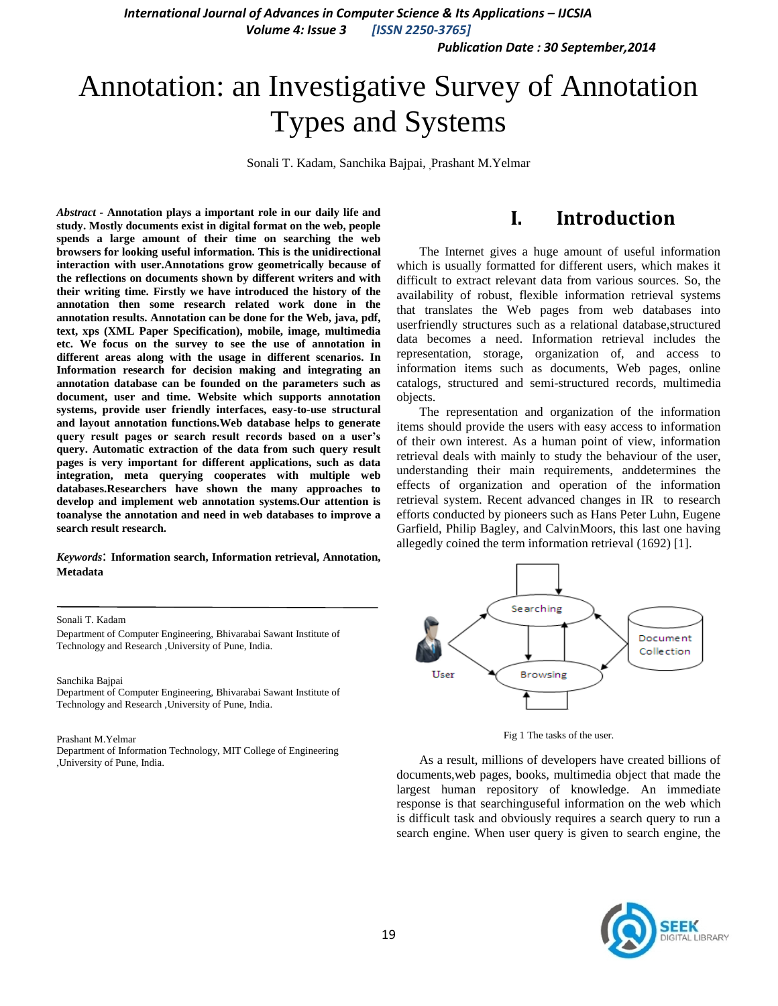*International Journal of Advances in Computer Science & Its Applications – IJCSIA*

*Volume 4: Issue 3 [ISSN 2250-3765]*

*Publication Date : 30 September,2014*

# Annotation: an Investigative Survey of Annotation Types and Systems

Sonali T. Kadam, Sanchika Bajpai, Prashant M.Yelmar

*Abstract -* **Annotation plays a important role in our daily life and study. Mostly documents exist in digital format on the web, people spends a large amount of their time on searching the web browsers for looking useful information. This is the unidirectional interaction with user.Annotations grow geometrically because of the reflections on documents shown by different writers and with their writing time. Firstly we have introduced the history of the annotation then some research related work done in the annotation results. Annotation can be done for the Web, java, pdf, text, xps [\(XML Paper Specification\)](http://en.wikipedia.org/wiki/XML_Paper_Specification), mobile, image, multimedia etc. We focus on the survey to see the use of annotation in different areas along with the usage in different scenarios. In Information research for decision making and integrating an annotation database can be founded on the parameters such as document, user and time. Website which supports annotation systems, provide user friendly interfaces, easy-to-use structural and layout annotation functions.Web database helps to generate query result pages or search result records based on a user's query. Automatic extraction of the data from such query result pages is very important for different applications, such as data integration, meta querying cooperates with multiple web databases.Researchers have shown the many approaches to develop and implement web annotation systems.Our attention is toanalyse the annotation and need in web databases to improve a search result research.**

*Keywords*: **Information search, Information retrieval, Annotation, Metadata**

### **I. Introduction**

The Internet gives a huge amount of useful information which is usually formatted for different users, which makes it difficult to extract relevant data from various sources. So, the availability of robust, flexible information retrieval systems that translates the Web pages from web databases into userfriendly structures such as a relational database,structured data becomes a need. Information retrieval includes the representation, storage, organization of, and access to information items such as documents, Web pages, online catalogs, structured and semi-structured records, multimedia objects.

The representation and organization of the information items should provide the users with easy access to information of their own interest. As a human point of view, information retrieval deals with mainly to study the behaviour of the user, understanding their main requirements, anddetermines the effects of organization and operation of the information retrieval system. Recent advanced changes in IR to research efforts conducted by pioneers such as Hans Peter Luhn, Eugene Garfield, Philip Bagley, and CalvinMoors, this last one having allegedly coined the term information retrieval (1692) [1].



Fig 1 The tasks of the user.

As a result, millions of developers have created billions of documents,web pages, books, multimedia object that made the largest human repository of knowledge. An immediate response is that searchinguseful information on the web which is difficult task and obviously requires a search query to run a search engine. When user query is given to search engine, the



Sonali T. Kadam

Department of Computer Engineering, Bhivarabai Sawant Institute of Technology and Research ,University of Pune, India.

#### Sanchika Bajpai

Department of Computer Engineering, Bhivarabai Sawant Institute of Technology and Research ,University of Pune, India.

#### Prashant M.Yelmar

Department of Information Technology, MIT College of Engineering ,University of Pune, India.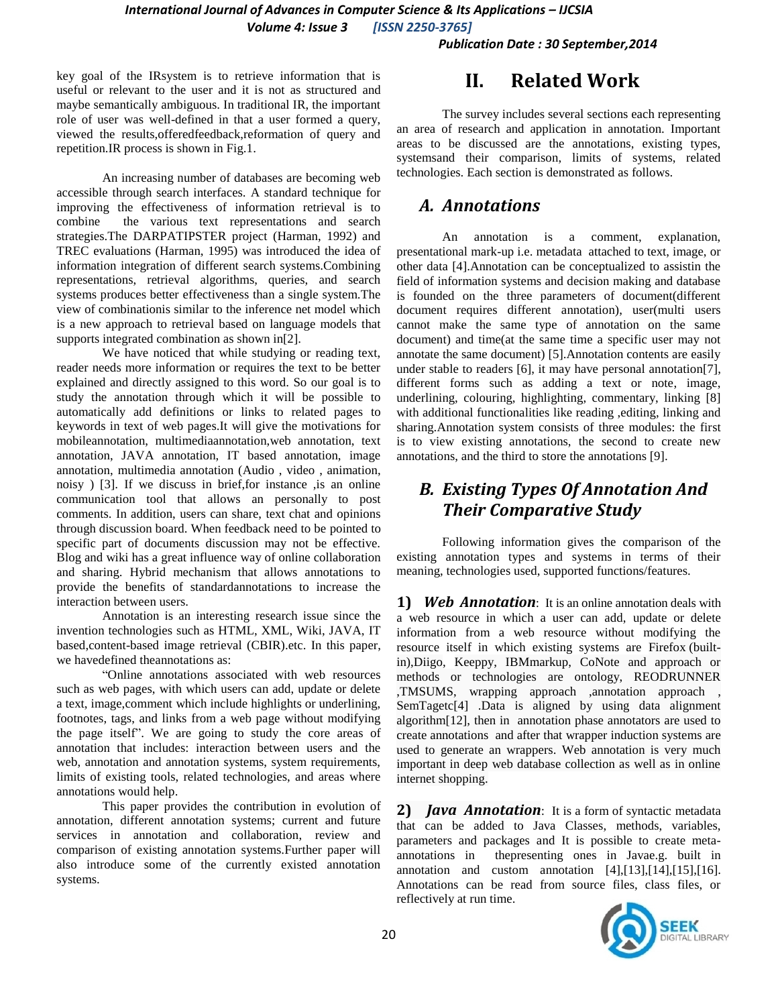*International Journal of Advances in Computer Science & Its Applications – IJCSIA Volume 4: Issue 3 [ISSN 2250-3765]*

*Publication Date : 30 September,2014*

key goal of the IRsystem is to retrieve information that is useful or relevant to the user and it is not as structured and maybe semantically ambiguous. In traditional IR, the important role of user was well-defined in that a user formed a query, viewed the results,offeredfeedback,reformation of query and repetition.IR process is shown in Fig.1.

An increasing number of databases are becoming web accessible through search interfaces. A standard technique for improving the effectiveness of information retrieval is to combine the various text representations and search strategies.The DARPATIPSTER project (Harman, 1992) and TREC evaluations (Harman, 1995) was introduced the idea of information integration of different search systems.Combining representations, retrieval algorithms, queries, and search systems produces better effectiveness than a single system.The view of combinationis similar to the inference net model which is a new approach to retrieval based on language models that supports integrated combination as shown in[2].

We have noticed that while studying or reading text, reader needs more information or requires the text to be better explained and directly assigned to this word. So our goal is to study the annotation through which it will be possible to automatically add definitions or links to related pages to keywords in text of web pages.It will give the motivations for mobileannotation, multimediaannotation,web annotation, text annotation, JAVA annotation, IT based annotation, image annotation, multimedia annotation (Audio , video , animation, noisy ) [3]. If we discuss in brief,for instance ,is an online communication tool that allows an personally to post comments. In addition, users can share, text chat and opinions through discussion board. When feedback need to be pointed to specific part of documents discussion may not be effective. Blog and wiki has a great influence way of online collaboration and sharing. Hybrid mechanism that allows annotations to provide the benefits of standardannotations to increase the interaction between users.

Annotation is an interesting research issue since the invention technologies such as HTML, XML, Wiki, JAVA, IT based,content-based image retrieval (CBIR).etc. In this paper, we havedefined theannotations as:

"Online annotations associated with web resources such as web pages, with which users can add, update or delete a text, image,comment which include highlights or underlining, footnotes, tags, and links from a web page without modifying the page itself". We are going to study the core areas of annotation that includes: interaction between users and the web, annotation and annotation systems, system requirements, limits of existing tools, related technologies, and areas where annotations would help.

This paper provides the contribution in evolution of annotation, different annotation systems; current and future services in annotation and collaboration, review and comparison of existing annotation systems.Further paper will also introduce some of the currently existed annotation systems.

### **II. Related Work**

The survey includes several sections each representing an area of research and application in annotation. Important areas to be discussed are the annotations, existing types, systemsand their comparison, limits of systems, related technologies. Each section is demonstrated as follows.

### *A. Annotations*

An annotation is a comment, explanation, presentational [mark-up](http://en.wikipedia.org/wiki/Markup_language) i.e. metadata attached to text, image, or other data [4].Annotation can be conceptualized to assistin the field of information systems and decision making and database is founded on the three parameters of document(different document requires different annotation), user(multi users cannot make the same type of annotation on the same document) and time(at the same time a specific user may not annotate the same document) [5].Annotation contents are easily under stable to readers [6], it may have personal annotation[7], different forms such as adding a text or note, image, underlining, colouring, highlighting, commentary, linking [8] with additional functionalities like reading ,editing, linking and sharing.Annotation system consists of three modules: the first is to view existing annotations, the second to create new annotations, and the third to store the annotations [9].

### *B. Existing Types Of Annotation And Their Comparative Study*

Following information gives the comparison of the existing annotation types and systems in terms of their meaning, technologies used, supported functions/features.

**1)** *Web Annotation*: It is an online [annotation](http://en.wikipedia.org/wiki/Annotation) deals with a web resource in which a user can add, update or delete information from a web resource without modifying the resource itself in which existing systems are [Firefox](http://en.wikipedia.org/wiki/Firefox) (builtin[\),Diigo,](http://en.wikipedia.org/wiki/Diigo) [Keeppy,](http://en.wikipedia.org/w/index.php?title=Keeppy&action=edit&redlink=1) IBMmarkup, CoNote and approach or methods or technologies are ontology, REODRUNNER ,TMSUMS, wrapping approach ,annotation approach , SemTagetc[4] .Data is aligned by using data alignment algorithm[12], then in annotation phase annotators are used to create annotations and after that wrapper induction systems are used to generate an wrappers. Web annotation is very much important in deep web database collection as well as in online internet shopping.

**2)** *Java Annotation*: It is a form of syntactic [metadata](http://en.wikipedia.org/wiki/Metadata) that can be added to [Java](http://en.wikipedia.org/wiki/Java_%28programming_language%29) Classes, methods, variables, parameters and packages and It is possible to create metaannotations in thepresenting ones in Javae.g. built in annotation and custom annotation  $[4]$ , $[13]$ , $[14]$ , $[15]$ , $[16]$ . Annotations can be read from source files, class files, or reflectively at run time.

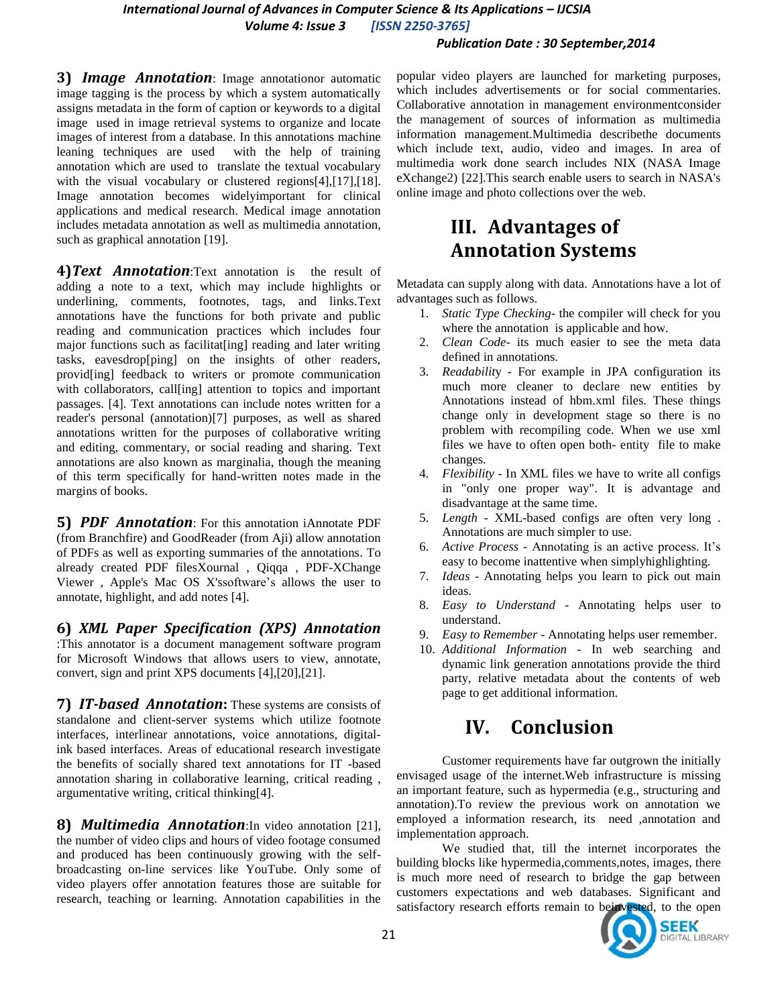### *International Journal of Advances in Computer Science & Its Applications – IJCSIA Volume 4: Issue 3 [ISSN 2250-3765]*

#### *Publication Date : 30 September,2014*

**3)** *Image Annotation*: Image annotationor automatic image tagging is the process by which a system automatically assigns [metadata](http://en.wikipedia.org/wiki/Metadata) in the form of caption or [keywords](http://en.wikipedia.org/wiki/Index_term) to a digital image used in [image retrieval](http://en.wikipedia.org/wiki/Image_retrieval) systems to organize and locate images of interest from a [database.](http://en.wikipedia.org/wiki/Database) In this annotations machine leaning techniques are used with the help of training annotation which are used to translate the textual vocabulary with the visual vocabulary or clustered regions[4],[17],[18]. Image annotation becomes widelyimportant for clinical applications and medical research. Medical image annotation includes metadata annotation as well as multimedia annotation, such as graphical annotation [19].

**4)***Text Annotation*:Text annotation is the result of adding a note to a text, which may include highlights or underlining, comments, footnotes, tags, and links.Text annotations have the functions for both private and public reading and communication practices which includes four major functions such as facilitat[ing] reading and later writing tasks, eavesdrop[ping] on the insights of other readers, provid[ing] feedback to writers or promote communication with collaborators, call[ing] attention to topics and important passages. [4]. Text annotations can include notes written for a reader's personal (annotation)[7] purposes, as well as shared annotations written for the purposes of collaborative writing and [editing,](http://en.wikipedia.org/wiki/Collaborative_editing) commentary, or social reading and sharing. Text annotations are also known as [marginalia,](http://en.wikipedia.org/wiki/Marginalia) though the meaning of this term specifically for hand-written notes made in the margins of books.

**5)** *PDF Annotation*: For this annotation [iAnnotate PDF](http://en.wikipedia.org/w/index.php?title=IAnnotate_PDF&action=edit&redlink=1) (from Branchfire) and [GoodReader](http://en.wikipedia.org/w/index.php?title=GoodReader&action=edit&redlink=1) (from Aji) allow annotation of PDFs as well as exporting summaries of the annotations. To already created PDF file[sXournal](http://en.wikipedia.org/wiki/Xournal) , [Qiqqa](http://en.wikipedia.org/wiki/Qiqqa) , [PDF-XChange](http://en.wikipedia.org/wiki/PDF-XChange_Viewer)  [Viewer](http://en.wikipedia.org/wiki/PDF-XChange_Viewer) , [Apple's](http://en.wikipedia.org/wiki/Apple_Inc.) [Mac OS X's](http://en.wikipedia.org/wiki/Mac_OS_X)software's allows the user to annotate, highlight, and add notes [4].

**6)** *[XML Paper Specification](http://en.wikipedia.org/wiki/Open_XML_Paper_Specification) (XPS) Annotation* :This annotator is a [document management](http://en.wikipedia.org/wiki/Document_management) software program for [Microsoft Windows](http://en.wikipedia.org/wiki/Microsoft_Windows) that allows users to view, annotate, convert, sign and print [XPS](http://en.wikipedia.org/wiki/Open_XML_Paper_Specification) documents [4],[20],[21].

**7)** *IT-based Annotation***:** These systems are consists of [standalone](http://en.wikipedia.org/wiki/Computer_software) and [client-server systems](http://en.wikipedia.org/wiki/Client-server_model) which utilize footnote interfaces, interlinear annotations, voice annotations, digitalink based interfaces. Areas of educational research investigate the benefits of socially shared text annotations for IT -based annotation sharing in [collaborative learning,](http://en.wikipedia.org/wiki/Collaborative_learning) [critical reading](http://en.wikipedia.org/wiki/Critical_reading) , [argumentative writing,](http://en.wikipedia.org/wiki/Argumentation) [critical thinking\[](http://en.wikipedia.org/wiki/Critical_thinking)4].

**8)** *Multimedia Annotation*:In video annotation [21], the number of video clips and hours of video footage consumed and produced has been continuously growing with the selfbroadcasting on-line services like YouTube. Only some of video players offer annotation features those are suitable for research, teaching or learning. Annotation capabilities in the

popular video players are launched for marketing purposes, which includes advertisements or for social commentaries. Collaborative annotation in management environmentconsider the management of sources of information as multimedia information management.Multimedia describethe documents which include text, audio, video and images. In area of multimedia work done search includes NIX (NASA Image eXchange2) [22].This search enable users to search in NASA's online image and photo collections over the web.

# **III. Advantages of Annotation Systems**

Metadata can supply along with data. Annotations have a lot of advantages such as follows.

- 1. *Static Type Checking* the compiler will check for you where the annotation is applicable and how.
- 2. *Clean Code* its much easier to see the meta data defined in annotations.
- 3. *Readabilit*y For example in JPA configuration its much more cleaner to declare new entities by Annotations instead of hbm.xml files. These things change only in development stage so there is no problem with recompiling code. When we use xml files we have to often open both- entity file to make changes.
- 4. *Flexibility*  In XML files we have to write all configs in "only one proper way". It is advantage and disadvantage at the same time.
- 5. *Length* XML-based configs are often very long . Annotations are much simpler to use.
- 6. *Active Process* Annotating is an active process. It's easy to become inattentive when simplyhighlighting.
- 7. *Ideas* Annotating helps you learn to pick out main ideas.
- 8. *Easy to Understand* Annotating helps user to understand.
- 9. *Easy to Remember* Annotating helps user remember.
- 10. *Additional Information* In web searching and dynamic link generation annotations provide the third party, relative metadata about the contents of web page to get additional information.

## **IV. Conclusion**

Customer requirements have far outgrown the initially envisaged usage of the internet.Web infrastructure is missing an important feature, such as hypermedia (e.g., structuring and annotation).To review the previous work on annotation we employed a information research, its need ,annotation and implementation approach.

We studied that, till the internet incorporates the building blocks like hypermedia,comments,notes, images, there is much more need of research to bridge the gap between customers expectations and web databases. Significant and satisfactory research efforts remain to beinvested, to the open